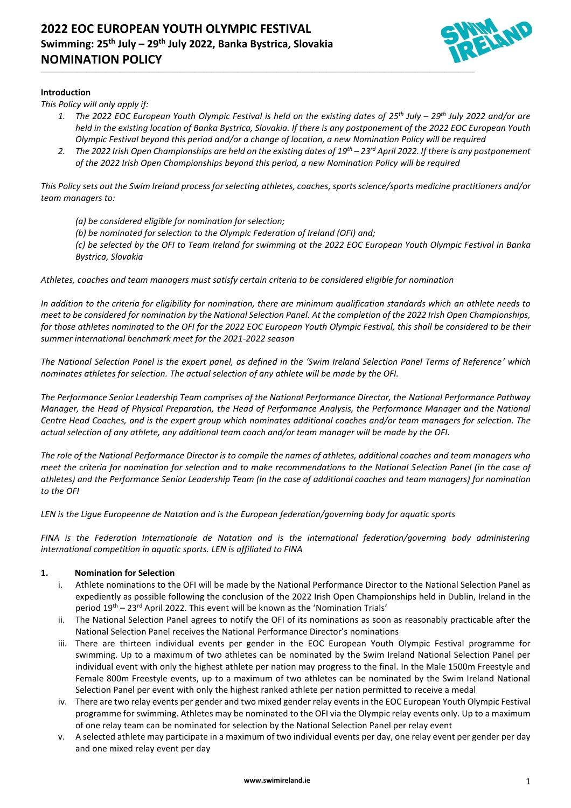

# **Introduction**

*This Policy will only apply if:*

*1. The 2022 EOC European Youth Olympic Festival is held on the existing dates of 25th July – 29th July 2022 and/or are held in the existing location of Banka Bystrica, Slovakia. If there is any postponement of the 2022 EOC European Youth Olympic Festival beyond this period and/or a change of location, a new Nomination Policy will be required*

\_\_\_\_\_\_\_\_\_\_\_\_\_\_\_\_\_\_\_\_\_\_\_\_\_\_\_\_\_\_\_\_\_\_\_\_\_\_\_\_\_\_\_\_\_\_\_\_\_\_\_\_\_\_\_\_\_\_\_\_\_\_\_\_\_\_\_\_\_\_\_\_\_\_\_\_\_\_\_\_\_\_\_\_\_\_\_\_\_\_\_\_\_\_\_\_\_\_\_\_\_\_\_\_\_\_\_\_\_\_\_\_\_\_\_\_\_\_\_\_\_\_\_\_\_\_\_\_\_\_\_\_\_\_\_\_\_\_\_\_\_\_\_\_\_\_\_\_\_\_\_\_\_\_\_\_\_\_\_\_\_\_\_\_\_\_\_\_\_\_\_\_\_\_\_\_\_\_\_\_\_

*2. The 2022 Irish Open Championships are held on the existing dates of 19th – 23 rd April 2022. If there is any postponement of the 2022 Irish Open Championships beyond this period, a new Nomination Policy will be required*

*This Policy sets out the Swim Ireland process for selecting athletes, coaches, sports science/sports medicine practitioners and/or team managers to:*

- *(a) be considered eligible for nomination for selection;*
- *(b) be nominated for selection to the Olympic Federation of Ireland (OFI) and;*

*(c) be selected by the OFI to Team Ireland for swimming at the 2022 EOC European Youth Olympic Festival in Banka Bystrica, Slovakia*

*Athletes, coaches and team managers must satisfy certain criteria to be considered eligible for nomination*

*In addition to the criteria for eligibility for nomination, there are minimum qualification standards which an athlete needs to meet to be considered for nomination by the National Selection Panel. At the completion of the 2022 Irish Open Championships, for those athletes nominated to the OFI for the 2022 EOC European Youth Olympic Festival, this shall be considered to be their summer international benchmark meet for the 2021-2022 season*

*The National Selection Panel is the expert panel, as defined in the 'Swim Ireland Selection Panel Terms of Reference' which nominates athletes for selection. The actual selection of any athlete will be made by the OFI.*

*The Performance Senior Leadership Team comprises of the National Performance Director, the National Performance Pathway Manager, the Head of Physical Preparation, the Head of Performance Analysis, the Performance Manager and the National Centre Head Coaches, and is the expert group which nominates additional coaches and/or team managers for selection. The actual selection of any athlete, any additional team coach and/or team manager will be made by the OFI.*

*The role of the National Performance Director is to compile the names of athletes, additional coaches and team managers who meet the criteria for nomination for selection and to make recommendations to the National Selection Panel (in the case of athletes) and the Performance Senior Leadership Team (in the case of additional coaches and team managers) for nomination to the OFI*

*LEN is the Ligue Europeenne de Natation and is the European federation/governing body for aquatic sports*

*FINA is the Federation Internationale de Natation and is the international federation/governing body administering international competition in aquatic sports. LEN is affiliated to FINA*

## **1. Nomination for Selection**

- i. Athlete nominations to the OFI will be made by the National Performance Director to the National Selection Panel as expediently as possible following the conclusion of the 2022 Irish Open Championships held in Dublin, Ireland in the period  $19<sup>th</sup> - 23<sup>rd</sup>$  April 2022. This event will be known as the 'Nomination Trials'
- ii. The National Selection Panel agrees to notify the OFI of its nominations as soon as reasonably practicable after the National Selection Panel receives the National Performance Director's nominations
- iii. There are thirteen individual events per gender in the EOC European Youth Olympic Festival programme for swimming. Up to a maximum of two athletes can be nominated by the Swim Ireland National Selection Panel per individual event with only the highest athlete per nation may progress to the final. In the Male 1500m Freestyle and Female 800m Freestyle events, up to a maximum of two athletes can be nominated by the Swim Ireland National Selection Panel per event with only the highest ranked athlete per nation permitted to receive a medal
- iv. There are two relay events per gender and two mixed gender relay events in the EOC European Youth Olympic Festival programme for swimming. Athletes may be nominated to the OFI via the Olympic relay events only. Up to a maximum of one relay team can be nominated for selection by the National Selection Panel per relay event
- v. A selected athlete may participate in a maximum of two individual events per day, one relay event per gender per day and one mixed relay event per day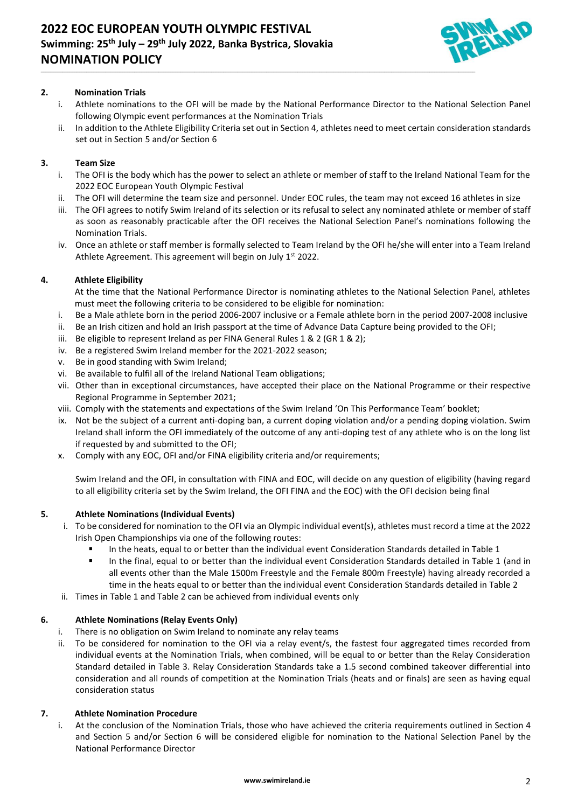

# **2. Nomination Trials**

i. Athlete nominations to the OFI will be made by the National Performance Director to the National Selection Panel following Olympic event performances at the Nomination Trials

\_\_\_\_\_\_\_\_\_\_\_\_\_\_\_\_\_\_\_\_\_\_\_\_\_\_\_\_\_\_\_\_\_\_\_\_\_\_\_\_\_\_\_\_\_\_\_\_\_\_\_\_\_\_\_\_\_\_\_\_\_\_\_\_\_\_\_\_\_\_\_\_\_\_\_\_\_\_\_\_\_\_\_\_\_\_\_\_\_\_\_\_\_\_\_\_\_\_\_\_\_\_\_\_\_\_\_\_\_\_\_\_\_\_\_\_\_\_\_\_\_\_\_\_\_\_\_\_\_\_\_\_\_\_\_\_\_\_\_\_\_\_\_\_\_\_\_\_\_\_\_\_\_\_\_\_\_\_\_\_\_\_\_\_\_\_\_\_\_\_\_\_\_\_\_\_\_\_\_\_\_

ii. In addition to the Athlete Eligibility Criteria set out in Section 4, athletes need to meet certain consideration standards set out in Section 5 and/or Section 6

## **3. Team Size**

- i. The OFI is the body which has the power to select an athlete or member of staff to the Ireland National Team for the 2022 EOC European Youth Olympic Festival
- The OFI will determine the team size and personnel. Under EOC rules, the team may not exceed 16 athletes in size
- iii. The OFI agrees to notify Swim Ireland of its selection or its refusal to select any nominated athlete or member of staff as soon as reasonably practicable after the OFI receives the National Selection Panel's nominations following the Nomination Trials.
- iv. Once an athlete or staff member is formally selected to Team Ireland by the OFI he/she will enter into a Team Ireland Athlete Agreement. This agreement will begin on July 1st 2022.

## **4. Athlete Eligibility**

At the time that the National Performance Director is nominating athletes to the National Selection Panel, athletes must meet the following criteria to be considered to be eligible for nomination:

- i. Be a Male athlete born in the period 2006-2007 inclusive or a Female athlete born in the period 2007-2008 inclusive
- ii. Be an Irish citizen and hold an Irish passport at the time of Advance Data Capture being provided to the OFI;
- iii. Be eligible to represent Ireland as per FINA General Rules 1 & 2 (GR 1 & 2);
- iv. Be a registered Swim Ireland member for the 2021-2022 season;
- v. Be in good standing with Swim Ireland;
- vi. Be available to fulfil all of the Ireland National Team obligations;
- vii. Other than in exceptional circumstances, have accepted their place on the National Programme or their respective Regional Programme in September 2021;
- viii. Comply with the statements and expectations of the Swim Ireland 'On This Performance Team' booklet;
- ix. Not be the subject of a current anti-doping ban, a current doping violation and/or a pending doping violation. Swim Ireland shall inform the OFI immediately of the outcome of any anti-doping test of any athlete who is on the long list if requested by and submitted to the OFI;
- x. Comply with any EOC, OFI and/or FINA eligibility criteria and/or requirements;

Swim Ireland and the OFI, in consultation with FINA and EOC, will decide on any question of eligibility (having regard to all eligibility criteria set by the Swim Ireland, the OFI FINA and the EOC) with the OFI decision being final

## **5. Athlete Nominations (Individual Events)**

- i. To be considered for nomination to the OFI via an Olympic individual event(s), athletes must record a time at the 2022 Irish Open Championships via one of the following routes:
	- In the heats, equal to or better than the individual event Consideration Standards detailed in Table 1
	- In the final, equal to or better than the individual event Consideration Standards detailed in Table 1 (and in all events other than the Male 1500m Freestyle and the Female 800m Freestyle) having already recorded a time in the heats equal to or better than the individual event Consideration Standards detailed in Table 2
- ii. Times in Table 1 and Table 2 can be achieved from individual events only

# **6. Athlete Nominations (Relay Events Only)**

- i. There is no obligation on Swim Ireland to nominate any relay teams
- ii. To be considered for nomination to the OFI via a relay event/s, the fastest four aggregated times recorded from individual events at the Nomination Trials, when combined, will be equal to or better than the Relay Consideration Standard detailed in Table 3. Relay Consideration Standards take a 1.5 second combined takeover differential into consideration and all rounds of competition at the Nomination Trials (heats and or finals) are seen as having equal consideration status

## **7. Athlete Nomination Procedure**

i. At the conclusion of the Nomination Trials, those who have achieved the criteria requirements outlined in Section 4 and Section 5 and/or Section 6 will be considered eligible for nomination to the National Selection Panel by the National Performance Director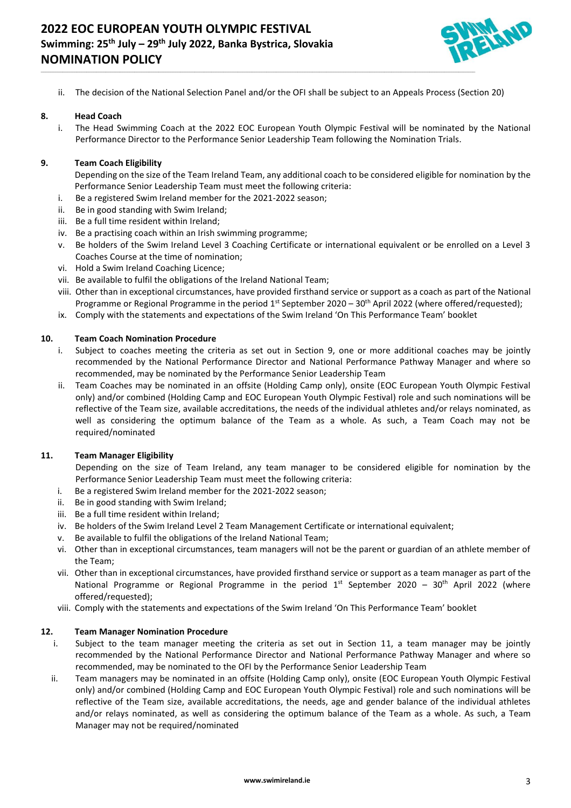

ii. The decision of the National Selection Panel and/or the OFI shall be subject to an Appeals Process (Section 20)

\_\_\_\_\_\_\_\_\_\_\_\_\_\_\_\_\_\_\_\_\_\_\_\_\_\_\_\_\_\_\_\_\_\_\_\_\_\_\_\_\_\_\_\_\_\_\_\_\_\_\_\_\_\_\_\_\_\_\_\_\_\_\_\_\_\_\_\_\_\_\_\_\_\_\_\_\_\_\_\_\_\_\_\_\_\_\_\_\_\_\_\_\_\_\_\_\_\_\_\_\_\_\_\_\_\_\_\_\_\_\_\_\_\_\_\_\_\_\_\_\_\_\_\_\_\_\_\_\_\_\_\_\_\_\_\_\_\_\_\_\_\_\_\_\_\_\_\_\_\_\_\_\_\_\_\_\_\_\_\_\_\_\_\_\_\_\_\_\_\_\_\_\_\_\_\_\_\_\_\_\_

#### **8. Head Coach**

i. The Head Swimming Coach at the 2022 EOC European Youth Olympic Festival will be nominated by the National Performance Director to the Performance Senior Leadership Team following the Nomination Trials.

#### **9. Team Coach Eligibility**

- Depending on the size of the Team Ireland Team, any additional coach to be considered eligible for nomination by the Performance Senior Leadership Team must meet the following criteria:
- i. Be a registered Swim Ireland member for the 2021-2022 season;
- ii. Be in good standing with Swim Ireland;
- iii. Be a full time resident within Ireland;
- iv. Be a practising coach within an Irish swimming programme;
- v. Be holders of the Swim Ireland Level 3 Coaching Certificate or international equivalent or be enrolled on a Level 3 Coaches Course at the time of nomination;
- vi. Hold a Swim Ireland Coaching Licence;
- vii. Be available to fulfil the obligations of the Ireland National Team;
- viii. Other than in exceptional circumstances, have provided firsthand service or support as a coach as part of the National Programme or Regional Programme in the period  $1^{st}$  September 2020 – 30<sup>th</sup> April 2022 (where offered/requested);
- ix. Comply with the statements and expectations of the Swim Ireland 'On This Performance Team' booklet

#### **10. Team Coach Nomination Procedure**

- i. Subject to coaches meeting the criteria as set out in Section 9, one or more additional coaches may be jointly recommended by the National Performance Director and National Performance Pathway Manager and where so recommended, may be nominated by the Performance Senior Leadership Team
- ii. Team Coaches may be nominated in an offsite (Holding Camp only), onsite (EOC European Youth Olympic Festival only) and/or combined (Holding Camp and EOC European Youth Olympic Festival) role and such nominations will be reflective of the Team size, available accreditations, the needs of the individual athletes and/or relays nominated, as well as considering the optimum balance of the Team as a whole. As such, a Team Coach may not be required/nominated

### **11. Team Manager Eligibility**

Depending on the size of Team Ireland, any team manager to be considered eligible for nomination by the Performance Senior Leadership Team must meet the following criteria:

- i. Be a registered Swim Ireland member for the 2021-2022 season;
- ii. Be in good standing with Swim Ireland;
- iii. Be a full time resident within Ireland;
- iv. Be holders of the Swim Ireland Level 2 Team Management Certificate or international equivalent;
- v. Be available to fulfil the obligations of the Ireland National Team;
- vi. Other than in exceptional circumstances, team managers will not be the parent or guardian of an athlete member of the Team;
- vii. Other than in exceptional circumstances, have provided firsthand service or support as a team manager as part of the National Programme or Regional Programme in the period  $1<sup>st</sup>$  September 2020 – 30<sup>th</sup> April 2022 (where offered/requested);
- viii. Comply with the statements and expectations of the Swim Ireland 'On This Performance Team' booklet

#### **12. Team Manager Nomination Procedure**

- i. Subject to the team manager meeting the criteria as set out in Section 11, a team manager may be jointly recommended by the National Performance Director and National Performance Pathway Manager and where so recommended, may be nominated to the OFI by the Performance Senior Leadership Team
- ii. Team managers may be nominated in an offsite (Holding Camp only), onsite (EOC European Youth Olympic Festival only) and/or combined (Holding Camp and EOC European Youth Olympic Festival) role and such nominations will be reflective of the Team size, available accreditations, the needs, age and gender balance of the individual athletes and/or relays nominated, as well as considering the optimum balance of the Team as a whole. As such, a Team Manager may not be required/nominated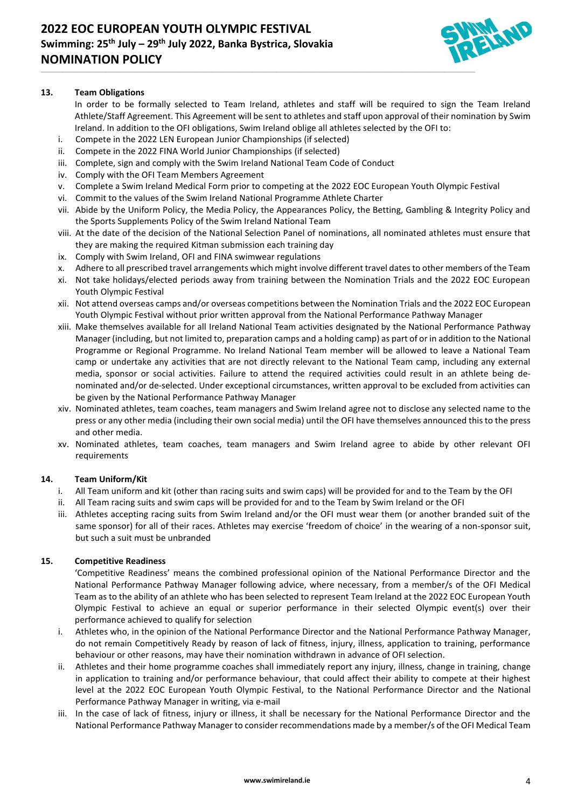

# **13. Team Obligations**

In order to be formally selected to Team Ireland, athletes and staff will be required to sign the Team Ireland Athlete/Staff Agreement. This Agreement will be sent to athletes and staff upon approval of their nomination by Swim Ireland. In addition to the OFI obligations, Swim Ireland oblige all athletes selected by the OFI to:

- i. Compete in the 2022 LEN European Junior Championships (if selected)
- ii. Compete in the 2022 FINA World Junior Championships (if selected)
- iii. Complete, sign and comply with the Swim Ireland National Team Code of Conduct
- iv. Comply with the OFI Team Members Agreement
- v. Complete a Swim Ireland Medical Form prior to competing at the 2022 EOC European Youth Olympic Festival

\_\_\_\_\_\_\_\_\_\_\_\_\_\_\_\_\_\_\_\_\_\_\_\_\_\_\_\_\_\_\_\_\_\_\_\_\_\_\_\_\_\_\_\_\_\_\_\_\_\_\_\_\_\_\_\_\_\_\_\_\_\_\_\_\_\_\_\_\_\_\_\_\_\_\_\_\_\_\_\_\_\_\_\_\_\_\_\_\_\_\_\_\_\_\_\_\_\_\_\_\_\_\_\_\_\_\_\_\_\_\_\_\_\_\_\_\_\_\_\_\_\_\_\_\_\_\_\_\_\_\_\_\_\_\_\_\_\_\_\_\_\_\_\_\_\_\_\_\_\_\_\_\_\_\_\_\_\_\_\_\_\_\_\_\_\_\_\_\_\_\_\_\_\_\_\_\_\_\_\_\_

- vi. Commit to the values of the Swim Ireland National Programme Athlete Charter
- vii. Abide by the Uniform Policy, the Media Policy, the Appearances Policy, the Betting, Gambling & Integrity Policy and the Sports Supplements Policy of the Swim Ireland National Team
- viii. At the date of the decision of the National Selection Panel of nominations, all nominated athletes must ensure that they are making the required Kitman submission each training day
- ix. Comply with Swim Ireland, OFI and FINA swimwear regulations
- Adhere to all prescribed travel arrangements which might involve different travel dates to other members of the Team
- xi. Not take holidays/elected periods away from training between the Nomination Trials and the 2022 EOC European Youth Olympic Festival
- xii. Not attend overseas camps and/or overseas competitions between the Nomination Trials and the 2022 EOC European Youth Olympic Festival without prior written approval from the National Performance Pathway Manager
- xiii. Make themselves available for all Ireland National Team activities designated by the National Performance Pathway Manager (including, but not limited to, preparation camps and a holding camp) as part of or in addition to the National Programme or Regional Programme. No Ireland National Team member will be allowed to leave a National Team camp or undertake any activities that are not directly relevant to the National Team camp, including any external media, sponsor or social activities. Failure to attend the required activities could result in an athlete being denominated and/or de-selected. Under exceptional circumstances, written approval to be excluded from activities can be given by the National Performance Pathway Manager
- xiv. Nominated athletes, team coaches, team managers and Swim Ireland agree not to disclose any selected name to the press or any other media (including their own social media) until the OFI have themselves announced this to the press and other media.
- xv. Nominated athletes, team coaches, team managers and Swim Ireland agree to abide by other relevant OFI requirements

# **14. Team Uniform/Kit**

- i. All Team uniform and kit (other than racing suits and swim caps) will be provided for and to the Team by the OFI
- ii. All Team racing suits and swim caps will be provided for and to the Team by Swim Ireland or the OFI
- iii. Athletes accepting racing suits from Swim Ireland and/or the OFI must wear them (or another branded suit of the same sponsor) for all of their races. Athletes may exercise 'freedom of choice' in the wearing of a non-sponsor suit, but such a suit must be unbranded

# **15. Competitive Readiness**

'Competitive Readiness' means the combined professional opinion of the National Performance Director and the National Performance Pathway Manager following advice, where necessary, from a member/s of the OFI Medical Team as to the ability of an athlete who has been selected to represent Team Ireland at the 2022 EOC European Youth Olympic Festival to achieve an equal or superior performance in their selected Olympic event(s) over their performance achieved to qualify for selection

- i. Athletes who, in the opinion of the National Performance Director and the National Performance Pathway Manager, do not remain Competitively Ready by reason of lack of fitness, injury, illness, application to training, performance behaviour or other reasons, may have their nomination withdrawn in advance of OFI selection.
- ii. Athletes and their home programme coaches shall immediately report any injury, illness, change in training, change in application to training and/or performance behaviour, that could affect their ability to compete at their highest level at the 2022 EOC European Youth Olympic Festival, to the National Performance Director and the National Performance Pathway Manager in writing, via e-mail
- In the case of lack of fitness, injury or illness, it shall be necessary for the National Performance Director and the National Performance Pathway Manager to consider recommendations made by a member/s of the OFI Medical Team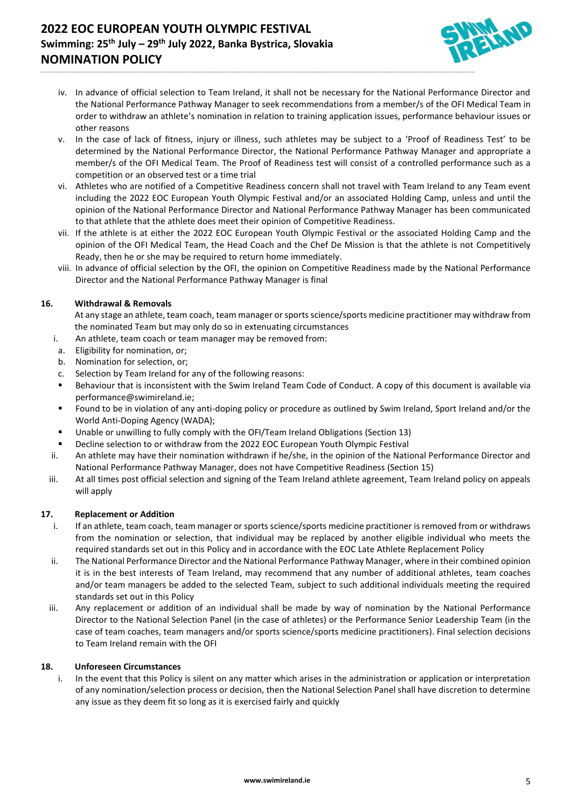# **2022 EOC EUROPEAN YOUTH OLYMPIC FESTIVAL Swimming: 25th July – 29th July 2022, Banka Bystrica, Slovakia NOMINATION POLICY**



iv. In advance of official selection to Team Ireland, it shall not be necessary for the National Performance Director and the National Performance Pathway Manager to seek recommendations from a member/s of the OFI Medical Team in order to withdraw an athlete's nomination in relation to training application issues, performance behaviour issues or other reasons

\_\_\_\_\_\_\_\_\_\_\_\_\_\_\_\_\_\_\_\_\_\_\_\_\_\_\_\_\_\_\_\_\_\_\_\_\_\_\_\_\_\_\_\_\_\_\_\_\_\_\_\_\_\_\_\_\_\_\_\_\_\_\_\_\_\_\_\_\_\_\_\_\_\_\_\_\_\_\_\_\_\_\_\_\_\_\_\_\_\_\_\_\_\_\_\_\_\_\_\_\_\_\_\_\_\_\_\_\_\_\_\_\_\_\_\_\_\_\_\_\_\_\_\_\_\_\_\_\_\_\_\_\_\_\_\_\_\_\_\_\_\_\_\_\_\_\_\_\_\_\_\_\_\_\_\_\_\_\_\_\_\_\_\_\_\_\_\_\_\_\_\_\_\_\_\_\_\_\_\_\_

- v. In the case of lack of fitness, injury or illness, such athletes may be subject to a 'Proof of Readiness Test' to be determined by the National Performance Director, the National Performance Pathway Manager and appropriate a member/s of the OFI Medical Team. The Proof of Readiness test will consist of a controlled performance such as a competition or an observed test or a time trial
- vi. Athletes who are notified of a Competitive Readiness concern shall not travel with Team Ireland to any Team event including the 2022 EOC European Youth Olympic Festival and/or an associated Holding Camp, unless and until the opinion of the National Performance Director and National Performance Pathway Manager has been communicated to that athlete that the athlete does meet their opinion of Competitive Readiness.
- vii. If the athlete is at either the 2022 EOC European Youth Olympic Festival or the associated Holding Camp and the opinion of the OFI Medical Team, the Head Coach and the Chef De Mission is that the athlete is not Competitively Ready, then he or she may be required to return home immediately.
- viii. In advance of official selection by the OFI, the opinion on Competitive Readiness made by the National Performance Director and the National Performance Pathway Manager is final

# **16. Withdrawal & Removals**

- At any stage an athlete, team coach, team manager or sports science/sports medicine practitioner may withdraw from the nominated Team but may only do so in extenuating circumstances
- i. An athlete, team coach or team manager may be removed from:
- a. Eligibility for nomination, or;
- b. Nomination for selection, or;
- c. Selection by Team Ireland for any of the following reasons:
- Behaviour that is inconsistent with the Swim Ireland Team Code of Conduct. A copy of this document is available via [performance@swimireland.ie;](mailto:performance@swimireland.ie)
- Found to be in violation of any anti-doping policy or procedure as outlined by Swim Ireland, Sport Ireland and/or the World Anti-Doping Agency (WADA);
- Unable or unwilling to fully comply with the OFI/Team Ireland Obligations (Section 13)
- Decline selection to or withdraw from the 2022 EOC European Youth Olympic Festival
- ii. An athlete may have their nomination withdrawn if he/she, in the opinion of the National Performance Director and National Performance Pathway Manager, does not have Competitive Readiness (Section 15)
- iii. At all times post official selection and signing of the Team Ireland athlete agreement, Team Ireland policy on appeals will apply

## **17. Replacement or Addition**

- i. If an athlete, team coach, team manager or sports science/sports medicine practitioner is removed from or withdraws from the nomination or selection, that individual may be replaced by another eligible individual who meets the required standards set out in this Policy and in accordance with the EOC Late Athlete Replacement Policy
- ii. The National Performance Director and the National Performance Pathway Manager, where in their combined opinion it is in the best interests of Team Ireland, may recommend that any number of additional athletes, team coaches and/or team managers be added to the selected Team, subject to such additional individuals meeting the required standards set out in this Policy
- iii. Any replacement or addition of an individual shall be made by way of nomination by the National Performance Director to the National Selection Panel (in the case of athletes) or the Performance Senior Leadership Team (in the case of team coaches, team managers and/or sports science/sports medicine practitioners). Final selection decisions to Team Ireland remain with the OFI

# **18. Unforeseen Circumstances**

i. In the event that this Policy is silent on any matter which arises in the administration or application or interpretation of any nomination/selection process or decision, then the National Selection Panel shall have discretion to determine any issue as they deem fit so long as it is exercised fairly and quickly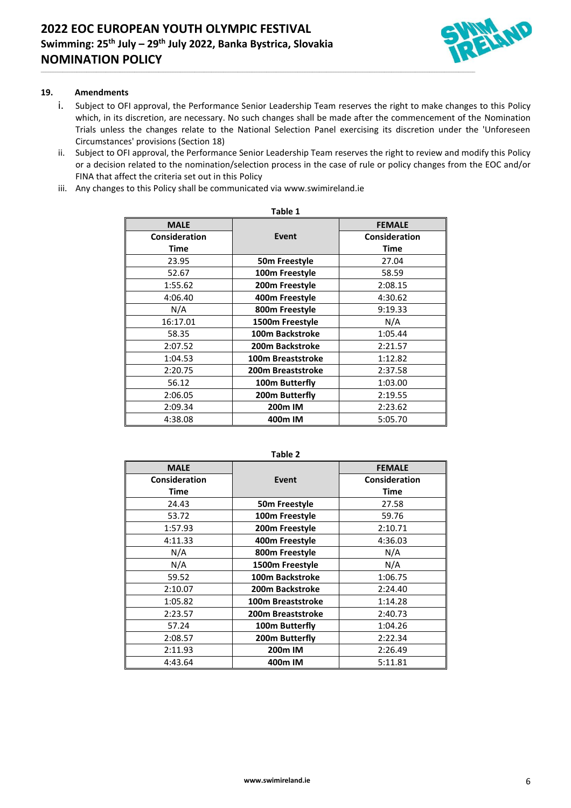

# **19. Amendments**

i. Subject to OFI approval, the Performance Senior Leadership Team reserves the right to make changes to this Policy which, in its discretion, are necessary. No such changes shall be made after the commencement of the Nomination Trials unless the changes relate to the National Selection Panel exercising its discretion under the 'Unforeseen Circumstances' provisions (Section 18)

\_\_\_\_\_\_\_\_\_\_\_\_\_\_\_\_\_\_\_\_\_\_\_\_\_\_\_\_\_\_\_\_\_\_\_\_\_\_\_\_\_\_\_\_\_\_\_\_\_\_\_\_\_\_\_\_\_\_\_\_\_\_\_\_\_\_\_\_\_\_\_\_\_\_\_\_\_\_\_\_\_\_\_\_\_\_\_\_\_\_\_\_\_\_\_\_\_\_\_\_\_\_\_\_\_\_\_\_\_\_\_\_\_\_\_\_\_\_\_\_\_\_\_\_\_\_\_\_\_\_\_\_\_\_\_\_\_\_\_\_\_\_\_\_\_\_\_\_\_\_\_\_\_\_\_\_\_\_\_\_\_\_\_\_\_\_\_\_\_\_\_\_\_\_\_\_\_\_\_\_\_

- ii. Subject to OFI approval, the Performance Senior Leadership Team reserves the right to review and modify this Policy or a decision related to the nomination/selection process in the case of rule or policy changes from the EOC and/or FINA that affect the criteria set out in this Policy
- iii. Any changes to this Policy shall be communicated via [www.swimireland.ie](http://www.swimireland.ie/)

| Table 1       |                          |                      |  |  |  |
|---------------|--------------------------|----------------------|--|--|--|
| <b>MALE</b>   |                          | <b>FEMALE</b>        |  |  |  |
| Consideration | Event                    | <b>Consideration</b> |  |  |  |
| Time          |                          | <b>Time</b>          |  |  |  |
| 23.95         | 50m Freestyle            | 27.04                |  |  |  |
| 52.67         | 100m Freestyle           | 58.59                |  |  |  |
| 1:55.62       | 200m Freestyle           | 2:08.15              |  |  |  |
| 4:06.40       | 400m Freestyle           | 4:30.62              |  |  |  |
| N/A           | 800m Freestyle           | 9:19.33              |  |  |  |
| 16:17.01      | 1500m Freestyle          | N/A                  |  |  |  |
| 58.35         | <b>100m Backstroke</b>   | 1:05.44              |  |  |  |
| 2:07.52       | 200m Backstroke          | 2:21.57              |  |  |  |
| 1:04.53       | 100m Breaststroke        | 1:12.82              |  |  |  |
| 2:20.75       | <b>200m Breaststroke</b> | 2:37.58              |  |  |  |
| 56.12         | 100m Butterfly           | 1:03.00              |  |  |  |
| 2:06.05       | 200m Butterfly           | 2:19.55              |  |  |  |
| 2:09.34       | 200 <sub>m</sub> IM      | 2:23.62              |  |  |  |
| 4:38.08       | 400m IM                  | 5:05.70              |  |  |  |

| ٩ | ۰. |  |
|---|----|--|

| <b>MALE</b>   |                        | <b>FEMALE</b>        |
|---------------|------------------------|----------------------|
| Consideration | Event                  | <b>Consideration</b> |
| Time          |                        | Time                 |
| 24.43         | 50m Freestyle          | 27.58                |
| 53.72         | 100m Freestyle         | 59.76                |
| 1:57.93       | 200m Freestyle         | 2:10.71              |
| 4:11.33       | 400m Freestyle         | 4:36.03              |
| N/A           | 800m Freestyle         | N/A                  |
| N/A           | 1500m Freestyle        | N/A                  |
| 59.52         | <b>100m Backstroke</b> | 1:06.75              |
| 2:10.07       | 200m Backstroke        | 2:24.40              |
| 1:05.82       | 100m Breaststroke      | 1:14.28              |
| 2:23.57       | 200m Breaststroke      | 2:40.73              |
| 57.24         | 100m Butterfly         | 1:04.26              |
| 2:08.57       | 200m Butterfly         | 2:22.34              |
| 2:11.93       | 200m IM                | 2:26.49              |
| 4:43.64       | 400m IM                | 5:11.81              |